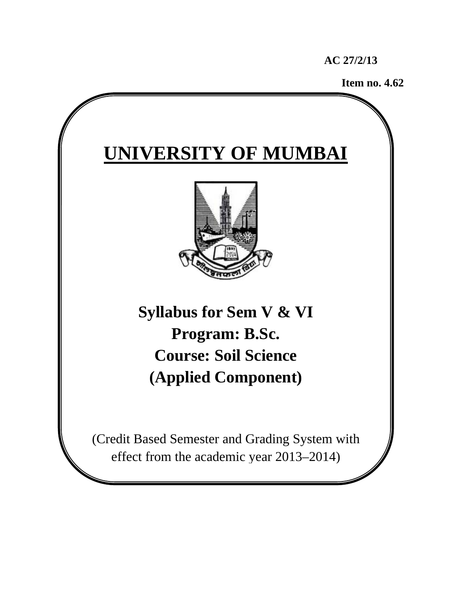**AC 27/2/13** 

**Item no. 4.62**



effect from the academic year 2013–2014)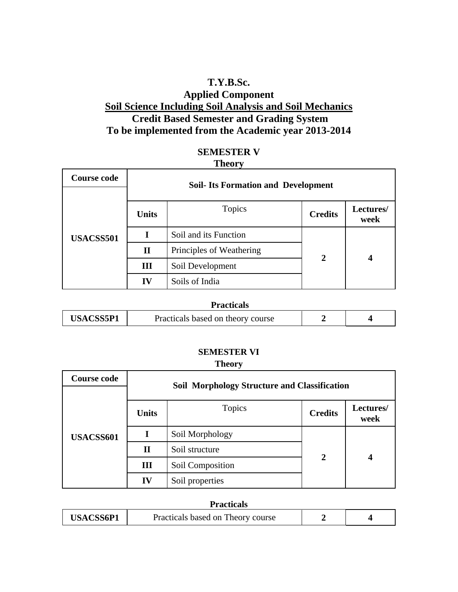## **T.Y.B.Sc. Applied Component Soil Science Including Soil Analysis and Soil Mechanics Credit Based Semester and Grading System To be implemented from the Academic year 2013-2014**

| <b>SEMESTER V</b> |  |
|-------------------|--|
| <b>Theory</b>     |  |

| <b>Course code</b> | <b>Soil-Its Formation and Development</b> |                          |                |                   |
|--------------------|-------------------------------------------|--------------------------|----------------|-------------------|
| USACSS501          | <b>Units</b>                              | Topics                   | <b>Credits</b> | Lectures/<br>week |
|                    |                                           | Soil and its Function    |                |                   |
|                    | $\mathbf{I}$                              | Principles of Weathering | $\mathbf{2}$   |                   |
|                    | Ш                                         | Soil Development         |                |                   |
|                    | IV                                        | Soils of India           |                |                   |

| <b>Practicals</b> |                                   |  |  |  |
|-------------------|-----------------------------------|--|--|--|
| <b>USACSS5P1</b>  | Practicals based on theory course |  |  |  |

#### **SEMESTER VI**

#### **Theory**

| <b>Course code</b> | <b>Soil Morphology Structure and Classification</b> |                  |                |                   |
|--------------------|-----------------------------------------------------|------------------|----------------|-------------------|
| USACSS601          | <b>Units</b>                                        | Topics           | <b>Credits</b> | Lectures/<br>week |
|                    |                                                     | Soil Morphology  |                |                   |
|                    | П                                                   | Soil structure   | $\overline{2}$ |                   |
|                    | Ш                                                   | Soil Composition |                |                   |
|                    | IV                                                  | Soil properties  |                |                   |

| <b>Practicals</b> |                                   |  |  |  |
|-------------------|-----------------------------------|--|--|--|
| USACSS6P1         | Practicals based on Theory course |  |  |  |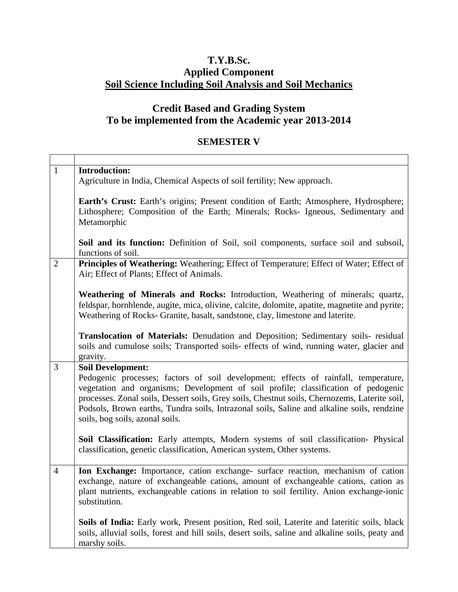# **T.Y.B.Sc. Applied Component Soil Science Including Soil Analysis and Soil Mechanics**

# **Credit Based and Grading System To be implemented from the Academic year 2013-2014**

## **SEMESTER V**

| $\mathbf{1}$   | <b>Introduction:</b><br>Agriculture in India, Chemical Aspects of soil fertility; New approach.                                                                                                                                                                                                                                                                                                                                         |
|----------------|-----------------------------------------------------------------------------------------------------------------------------------------------------------------------------------------------------------------------------------------------------------------------------------------------------------------------------------------------------------------------------------------------------------------------------------------|
|                | Earth's Crust: Earth's origins; Present condition of Earth; Atmosphere, Hydrosphere;<br>Lithosphere; Composition of the Earth; Minerals; Rocks- Igneous, Sedimentary and<br>Metamorphic                                                                                                                                                                                                                                                 |
|                | Soil and its function: Definition of Soil, soil components, surface soil and subsoil,<br>functions of soil.                                                                                                                                                                                                                                                                                                                             |
| $\overline{2}$ | Principles of Weathering: Weathering; Effect of Temperature; Effect of Water; Effect of<br>Air; Effect of Plants; Effect of Animals.                                                                                                                                                                                                                                                                                                    |
|                | Weathering of Minerals and Rocks: Introduction, Weathering of minerals; quartz,<br>feldspar, hornblende, augite, mica, olivine, calcite, dolomite, apatite, magnetite and pyrite;<br>Weathering of Rocks- Granite, basalt, sandstone, clay, limestone and laterite.                                                                                                                                                                     |
|                | Translocation of Materials: Denudation and Deposition; Sedimentary soils- residual<br>soils and cumulose soils; Transported soils- effects of wind, running water, glacier and<br>gravity.                                                                                                                                                                                                                                              |
| 3              | <b>Soil Development:</b><br>Pedogenic processes; factors of soil development; effects of rainfall, temperature,<br>vegetation and organisms; Development of soil profile; classification of pedogenic<br>processes. Zonal soils, Dessert soils, Grey soils, Chestnut soils, Chernozems, Laterite soil,<br>Podsols, Brown earths, Tundra soils, Intrazonal soils, Saline and alkaline soils, rendzine<br>soils, bog soils, azonal soils. |
|                | Soil Classification: Early attempts, Modern systems of soil classification- Physical<br>classification, genetic classification, American system, Other systems.                                                                                                                                                                                                                                                                         |
| $\overline{4}$ | Ion Exchange: Importance, cation exchange- surface reaction, mechanism of cation<br>exchange, nature of exchangeable cations, amount of exchangeable cations, cation as<br>plant nutrients, exchangeable cations in relation to soil fertility. Anion exchange-ionic<br>substitution.                                                                                                                                                   |
|                | <b>Soils of India:</b> Early work, Present position, Red soil, Laterite and lateritic soils, black<br>soils, alluvial soils, forest and hill soils, desert soils, saline and alkaline soils, peaty and<br>marshy soils.                                                                                                                                                                                                                 |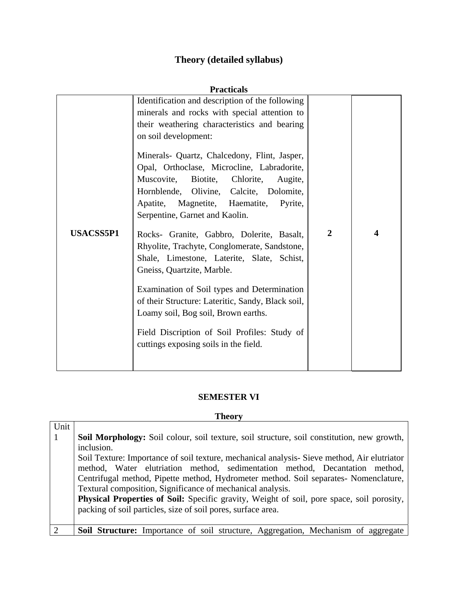# **Theory (detailed syllabus)**

| <b>Practicals</b> |                                                                                                                                                                                                                                                                                                                                                                                                                                                                                                                                                                                                                                                                                                                                                                                                                                                                   |                |   |  |
|-------------------|-------------------------------------------------------------------------------------------------------------------------------------------------------------------------------------------------------------------------------------------------------------------------------------------------------------------------------------------------------------------------------------------------------------------------------------------------------------------------------------------------------------------------------------------------------------------------------------------------------------------------------------------------------------------------------------------------------------------------------------------------------------------------------------------------------------------------------------------------------------------|----------------|---|--|
| <b>USACSS5P1</b>  | Identification and description of the following<br>minerals and rocks with special attention to<br>their weathering characteristics and bearing<br>on soil development:<br>Minerals- Quartz, Chalcedony, Flint, Jasper,<br>Opal, Orthoclase, Microcline, Labradorite,<br>Muscovite,<br>Biotite,<br>Chlorite,<br>Augite,<br>Hornblende, Olivine, Calcite, Dolomite,<br>Apatite,<br>Magnetite, Haematite,<br>Pyrite,<br>Serpentine, Garnet and Kaolin.<br>Rocks- Granite, Gabbro, Dolerite, Basalt,<br>Rhyolite, Trachyte, Conglomerate, Sandstone,<br>Shale, Limestone, Laterite, Slate, Schist,<br>Gneiss, Quartzite, Marble.<br>Examination of Soil types and Determination<br>of their Structure: Lateritic, Sandy, Black soil,<br>Loamy soil, Bog soil, Brown earths.<br>Field Discription of Soil Profiles: Study of<br>cuttings exposing soils in the field. | $\overline{2}$ | 4 |  |
|                   |                                                                                                                                                                                                                                                                                                                                                                                                                                                                                                                                                                                                                                                                                                                                                                                                                                                                   |                |   |  |

#### **SEMESTER VI**

#### **Theory**

| Unit         |                                                                                            |
|--------------|--------------------------------------------------------------------------------------------|
| $\mathbf{1}$ | Soil Morphology: Soil colour, soil texture, soil structure, soil constitution, new growth, |
|              | inclusion.                                                                                 |
|              | Soil Texture: Importance of soil texture, mechanical analysis-Sieve method, Air elutriator |
|              | method, Water elutriation method, sedimentation method, Decantation method,                |
|              | Centrifugal method, Pipette method, Hydrometer method. Soil separates- Nomenclature,       |
|              | Textural composition, Significance of mechanical analysis.                                 |
|              | Physical Properties of Soil: Specific gravity, Weight of soil, pore space, soil porosity,  |
|              | packing of soil particles, size of soil pores, surface area.                               |
|              |                                                                                            |
|              | <b>Soil Structure:</b> Importance of soil structure, Aggregation, Mechanism of aggregate   |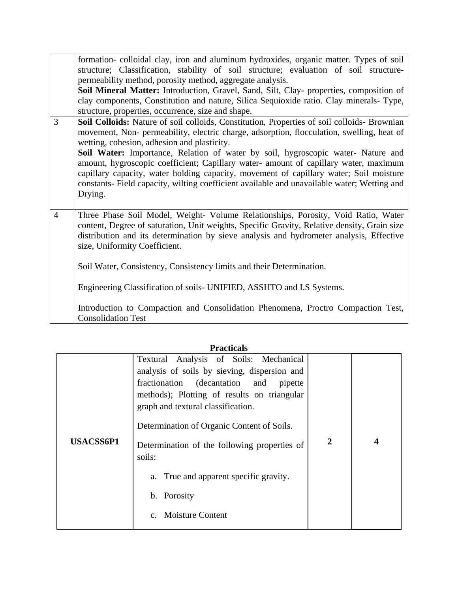|                | formation-colloidal clay, iron and aluminum hydroxides, organic matter. Types of soil<br>structure; Classification, stability of soil structure; evaluation of soil structure-<br>permeability method, porosity method, aggregate analysis.<br>Soil Mineral Matter: Introduction, Gravel, Sand, Silt, Clay- properties, composition of<br>clay components, Constitution and nature, Silica Sequioxide ratio. Clay minerals-Type,<br>structure, properties, occurrence, size and shape.                                                                                                                                  |
|----------------|-------------------------------------------------------------------------------------------------------------------------------------------------------------------------------------------------------------------------------------------------------------------------------------------------------------------------------------------------------------------------------------------------------------------------------------------------------------------------------------------------------------------------------------------------------------------------------------------------------------------------|
| 3              | Soil Colloids: Nature of soil colloids, Constitution, Properties of soil colloids- Brownian<br>movement, Non- permeability, electric charge, adsorption, flocculation, swelling, heat of<br>wetting, cohesion, adhesion and plasticity.<br>Soil Water: Importance, Relation of water by soil, hygroscopic water- Nature and<br>amount, hygroscopic coefficient; Capillary water- amount of capillary water, maximum<br>capillary capacity, water holding capacity, movement of capillary water; Soil moisture<br>constants- Field capacity, wilting coefficient available and unavailable water; Wetting and<br>Drying. |
| $\overline{4}$ | Three Phase Soil Model, Weight- Volume Relationships, Porosity, Void Ratio, Water<br>content, Degree of saturation, Unit weights, Specific Gravity, Relative density, Grain size<br>distribution and its determination by sieve analysis and hydrometer analysis, Effective<br>size, Uniformity Coefficient.<br>Soil Water, Consistency, Consistency limits and their Determination.<br>Engineering Classification of soils- UNIFIED, ASSHTO and I.S Systems.<br>Introduction to Compaction and Consolidation Phenomena, Proctro Compaction Test,<br><b>Consolidation Test</b>                                          |

#### **Practicals**

| <b>USACSS6P1</b> | Textural Analysis of Soils: Mechanical<br>analysis of soils by sieving, dispersion and<br>fractionation (decantation and pipette<br>methods); Plotting of results on triangular<br>graph and textural classification.<br>Determination of Organic Content of Soils.<br>Determination of the following properties of<br>soils: | $\mathbf{2}$ |  |
|------------------|-------------------------------------------------------------------------------------------------------------------------------------------------------------------------------------------------------------------------------------------------------------------------------------------------------------------------------|--------------|--|
|                  | a. True and apparent specific gravity.<br>b. Porosity<br><b>Moisture Content</b>                                                                                                                                                                                                                                              |              |  |